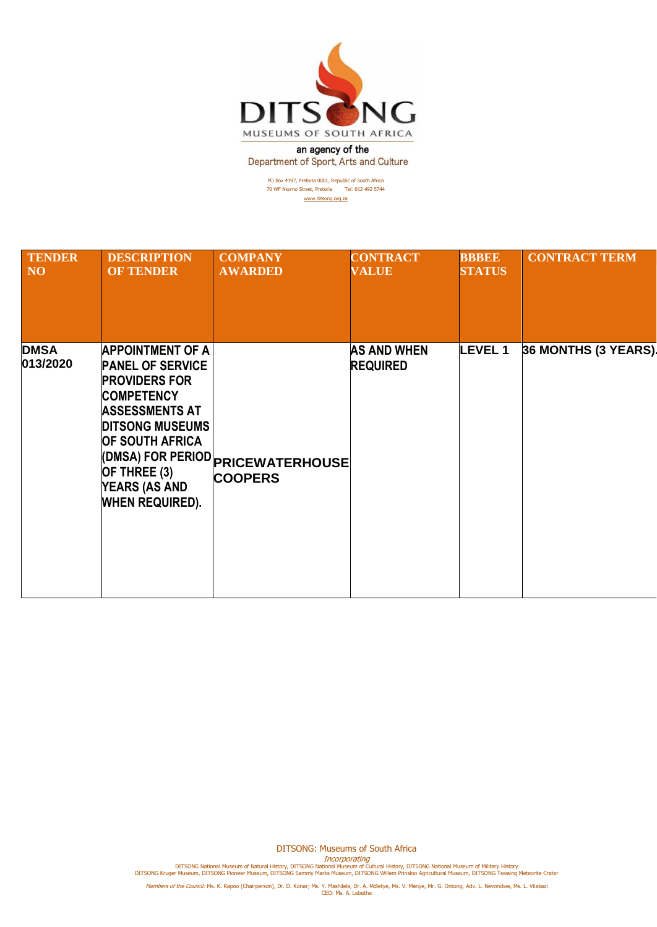

an agency of the Department of Sport, Arts and Culture

> PO Box 4197, Pretoria 0001, Republic of South Africa 70 WF Nkomo Street, Pretoria Tel: 012 492 5744 [www.ditsong.org.za](http://www.ditsong.org.za/)

| <b>TENDER</b>           | <b>DESCRIPTION</b>                                                                                                                                                                                                                             | <b>COMPANY</b>                                             | <b>CONTRACT</b>                       | <b>BBBEE</b>  | <b>CONTRACT TERM</b> |
|-------------------------|------------------------------------------------------------------------------------------------------------------------------------------------------------------------------------------------------------------------------------------------|------------------------------------------------------------|---------------------------------------|---------------|----------------------|
| N <sub>O</sub>          | <b>OF TENDER</b>                                                                                                                                                                                                                               | <b>AWARDED</b>                                             | <b>VALUE</b>                          | <b>STATUS</b> |                      |
| <b>DMSA</b><br>013/2020 | <b>APPOINTMENT OF A</b><br><b>PANEL OF SERVICE</b><br><b>PROVIDERS FOR</b><br><b>COMPETENCY</b><br><b>ASSESSMENTS AT</b><br><b>DITSONG MUSEUMS</b><br><b>OF SOUTH AFRICA</b><br>OF THREE (3)<br><b>YEARS (AS AND</b><br><b>WHEN REQUIRED).</b> | <b>(DMSA) FOR PERIOD PRICEWATERHOUSE</b><br><b>COOPERS</b> | <b>AS AND WHEN</b><br><b>REQUIRED</b> | <b>LEVEL1</b> | 36 MONTHS (3 YEARS). |

DITSONG: Museums of South Africa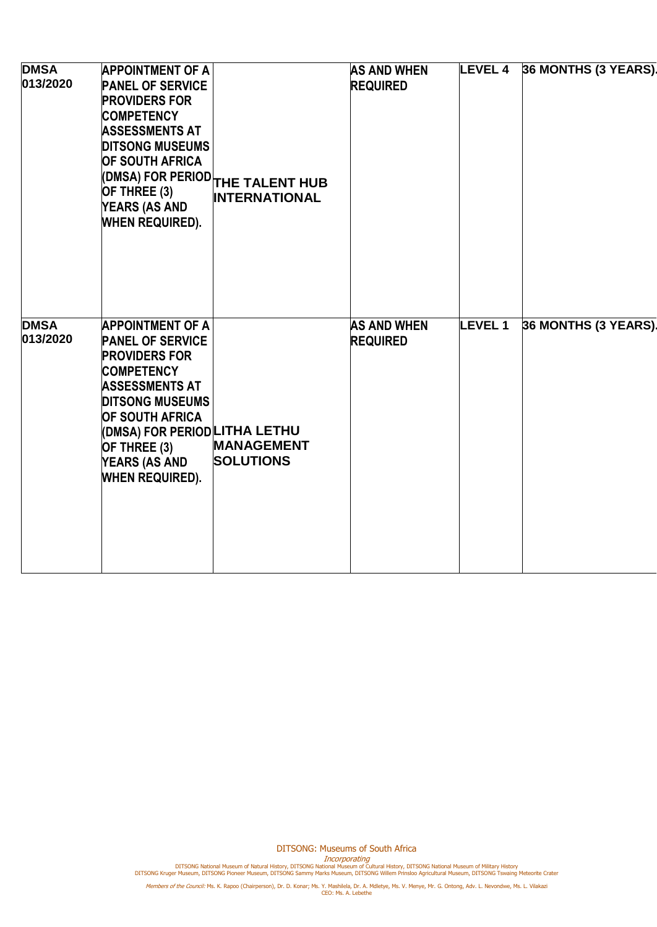| <b>DMSA</b><br>013/2020 | <b>APPOINTMENT OF A</b><br><b>PANEL OF SERVICE</b><br><b>PROVIDERS FOR</b><br><b>COMPETENCY</b><br><b>ASSESSMENTS AT</b><br><b>DITSONG MUSEUMS</b><br><b>OF SOUTH AFRICA</b><br>OF THREE (3)<br><b>YEARS (AS AND</b><br><b>WHEN REQUIRED).</b>                                  | (DMSA) FOR PERIOD THE TALENT HUB<br><b>INTERNATIONAL</b> | <b>AS AND WHEN</b><br><b>REQUIRED</b> | <b>LEVEL 4</b> | 36 MONTHS (3 YEARS). |
|-------------------------|---------------------------------------------------------------------------------------------------------------------------------------------------------------------------------------------------------------------------------------------------------------------------------|----------------------------------------------------------|---------------------------------------|----------------|----------------------|
| <b>DMSA</b><br>013/2020 | <b>APPOINTMENT OF A</b><br><b>PANEL OF SERVICE</b><br><b>PROVIDERS FOR</b><br><b>COMPETENCY</b><br><b>ASSESSMENTS AT</b><br><b>DITSONG MUSEUMS</b><br><b>OF SOUTH AFRICA</b><br>(DMSA) FOR PERIOD LITHA LETHU<br>OF THREE (3)<br><b>YEARS (AS AND</b><br><b>WHEN REQUIRED).</b> | <b>MANAGEMENT</b><br><b>SOLUTIONS</b>                    | <b>AS AND WHEN</b><br><b>REQUIRED</b> | <b>LEVEL1</b>  | 36 MONTHS (3 YEARS). |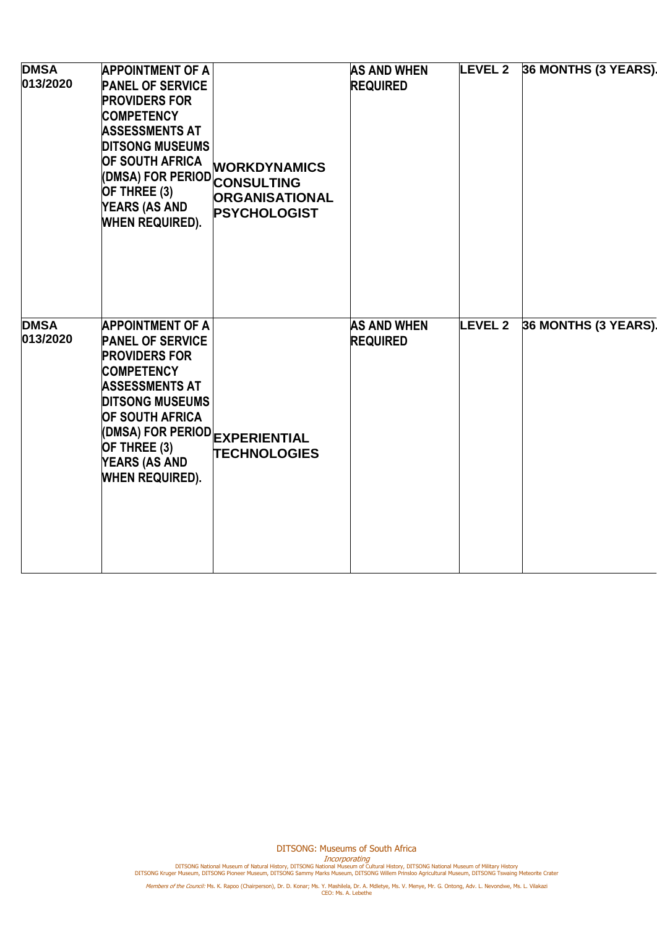| <b>DMSA</b><br>013/2020 | <b>APPOINTMENT OF A</b><br><b>PANEL OF SERVICE</b><br><b>PROVIDERS FOR</b><br><b>COMPETENCY</b><br><b>ASSESSMENTS AT</b><br><b>DITSONG MUSEUMS</b><br><b>OF SOUTH AFRICA</b><br>(DMSA) FOR PERIOD CONSULTING<br>OF THREE (3)<br><b>YEARS (AS AND</b><br><b>WHEN REQUIRED).</b>   | <b>WORKDYNAMICS</b><br><b>ORGANISATIONAL</b><br><b>PSYCHOLOGIST</b> | <b>AS AND WHEN</b><br><b>REQUIRED</b> | <b>LEVEL 2</b> | 36 MONTHS (3 YEARS). |
|-------------------------|----------------------------------------------------------------------------------------------------------------------------------------------------------------------------------------------------------------------------------------------------------------------------------|---------------------------------------------------------------------|---------------------------------------|----------------|----------------------|
| <b>DMSA</b><br>013/2020 | <b>APPOINTMENT OF A</b><br><b>PANEL OF SERVICE</b><br><b>PROVIDERS FOR</b><br><b>COMPETENCY</b><br><b>ASSESSMENTS AT</b><br><b>DITSONG MUSEUMS</b><br><b>OF SOUTH AFRICA</b><br>(DMSA) FOR PERIOD EXPERIENTIAL<br>OF THREE (3)<br><b>YEARS (AS AND</b><br><b>WHEN REQUIRED).</b> | <b>TECHNOLOGIES</b>                                                 | <b>AS AND WHEN</b><br><b>REQUIRED</b> | <b>LEVEL 2</b> | 36 MONTHS (3 YEARS). |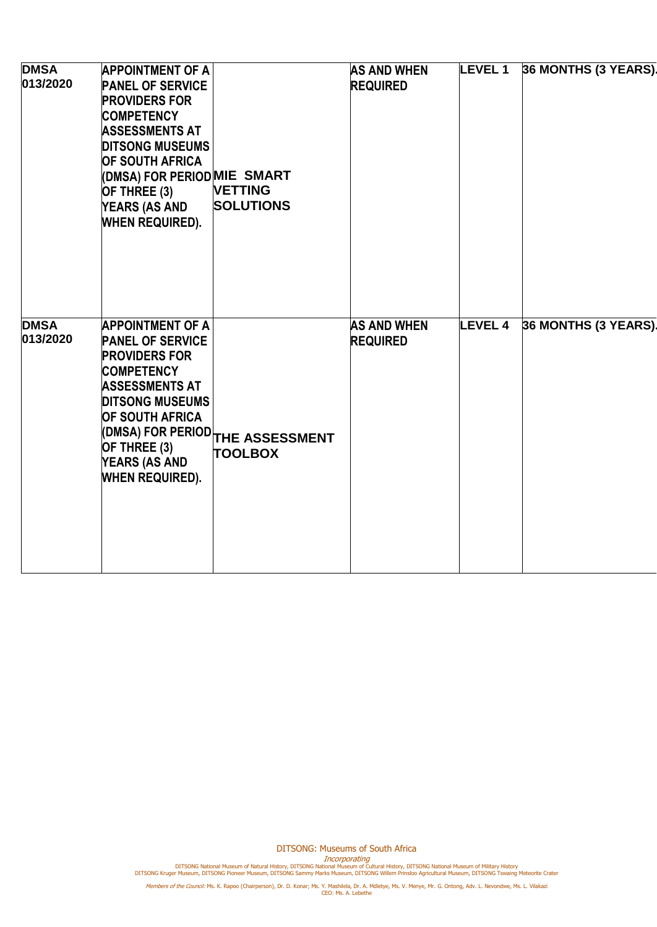| <b>DMSA</b><br>013/2020 | <b>APPOINTMENT OF A</b><br><b>PANEL OF SERVICE</b><br><b>PROVIDERS FOR</b><br><b>COMPETENCY</b><br><b>ASSESSMENTS AT</b><br><b>DITSONG MUSEUMS</b><br><b>OF SOUTH AFRICA</b><br>(DMSA) FOR PERIOD MIE SMART<br>OF THREE (3)<br><b>YEARS (AS AND</b><br><b>WHEN REQUIRED).</b> | <b>VETTING</b><br><b>SOLUTIONS</b>                                                | <b>AS AND WHEN</b><br><b>REQUIRED</b> | <b>LEVEL 1</b> | 36 MONTHS (3 YEARS). |
|-------------------------|-------------------------------------------------------------------------------------------------------------------------------------------------------------------------------------------------------------------------------------------------------------------------------|-----------------------------------------------------------------------------------|---------------------------------------|----------------|----------------------|
| <b>DMSA</b><br>013/2020 | <b>APPOINTMENT OF A</b><br><b>PANEL OF SERVICE</b><br><b>PROVIDERS FOR</b><br><b>COMPETENCY</b><br><b>ASSESSMENTS AT</b><br><b>DITSONG MUSEUMS</b><br><b>OF SOUTH AFRICA</b><br>OF THREE (3)<br><b>YEARS (AS AND</b><br><b>WHEN REQUIRED).</b>                                | $\left($ DMSA) FOR PERIOD $\left _\text{THE}\right.$ ASSESSMENT<br><b>TOOLBOX</b> | <b>AS AND WHEN</b><br><b>REQUIRED</b> | <b>LEVEL 4</b> | 36 MONTHS (3 YEARS). |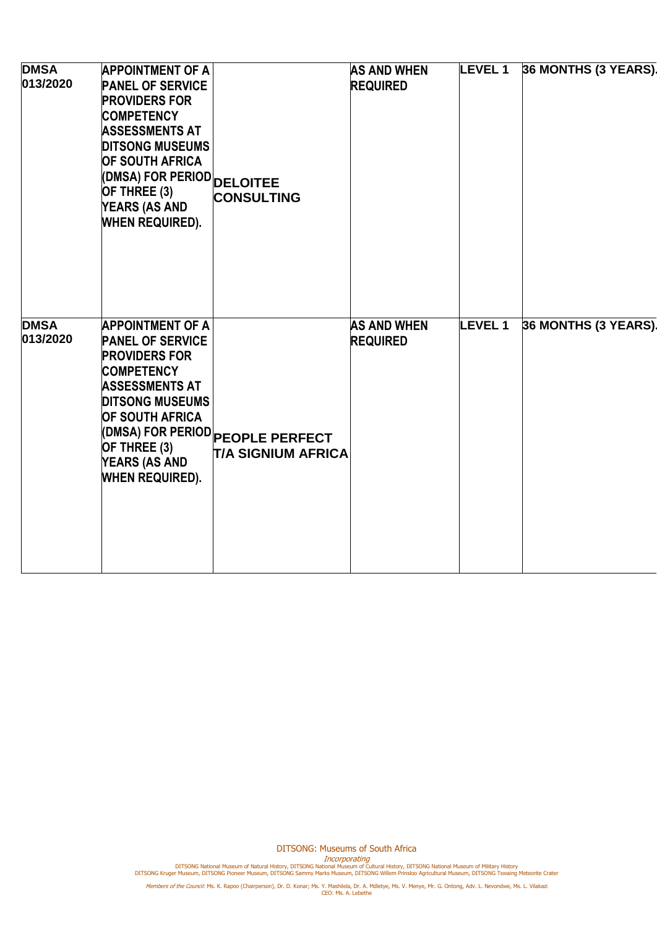| <b>DMSA</b><br>013/2020 | <b>APPOINTMENT OF A</b><br><b>PANEL OF SERVICE</b><br><b>PROVIDERS FOR</b><br><b>COMPETENCY</b><br><b>ASSESSMENTS AT</b><br><b>DITSONG MUSEUMS</b><br><b>OF SOUTH AFRICA</b><br>(DMSA) FOR PERIOD DELOITEE<br>OF THREE (3)<br><b>YEARS (AS AND</b><br><b>WHEN REQUIRED).</b> | <b>CONSULTING</b>                                            | <b>AS AND WHEN</b><br><b>REQUIRED</b> | <b>LEVEL 1</b> | 36 MONTHS (3 YEARS). |
|-------------------------|------------------------------------------------------------------------------------------------------------------------------------------------------------------------------------------------------------------------------------------------------------------------------|--------------------------------------------------------------|---------------------------------------|----------------|----------------------|
| <b>DMSA</b><br>013/2020 | <b>APPOINTMENT OF A</b><br><b>PANEL OF SERVICE</b><br><b>PROVIDERS FOR</b><br><b>COMPETENCY</b><br><b>ASSESSMENTS AT</b><br><b>DITSONG MUSEUMS</b><br><b>OF SOUTH AFRICA</b><br>OF THREE (3)<br><b>YEARS (AS AND</b><br><b>WHEN REQUIRED).</b>                               | DMSA) FOR PERIOD PEOPLE PERFECT<br><b>T/A SIGNIUM AFRICA</b> | <b>AS AND WHEN</b><br><b>REQUIRED</b> | <b>LEVEL 1</b> | 36 MONTHS (3 YEARS). |